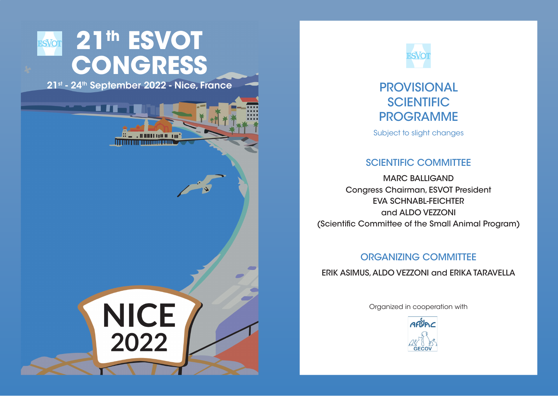# **ESVOT** 21<sup>th</sup> ESVOT **CONGRESS**

і п

21st - 24th September 2022 - Nice, France PROVISIONAL

 $\begin{array}{c} \textbf{H} \hspace{0.08cm}\textbf{H} \hspace{0.08cm}\textbf{H} \hspace{0.08cm}\textbf{H} \hspace{0.08cm}\textbf{H} \hspace{0.08cm}\textbf{H} \hspace{0.08cm}\textbf{H} \hspace{0.08cm}\textbf{H} \hspace{0.08cm}\textbf{H} \hspace{0.08cm} \end{array}$ 

<u> I I Bailt an Dheachtain</u>

**NICE** 

2022



## **SCIENTIFIC** PROGRAMME

Subject to slight changes

## SCIENTIFIC COMMITTEE

MARC BALLIGAND Congress Chairman, ESVOT President EVA SCHNABL-FEICHTER and ALDO VEZZONI (Scientific Committee of the Small Animal Program)

## ORGANIZING COMMITTEE

ERIK ASIMUS, ALDO VEZZONI and ERIKA TARAVELLA

Organized in cooperation with

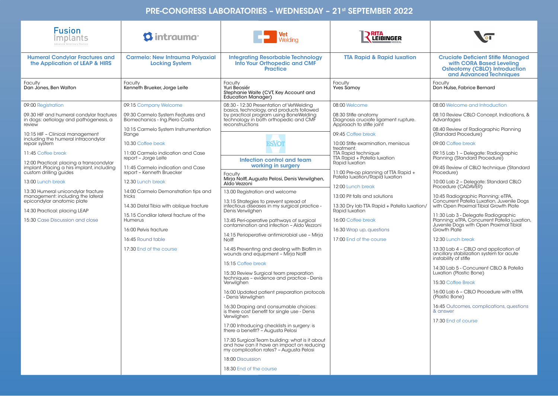#### PRE-CONGRESS LABORATORIES – WEDNESDAY – 21st SEPTEMBER 2022

| <b>Fusion</b><br>Implants<br>Advanced Veterinary Devices                                     | <b>O</b> intrauma                                                   | <b>Vet</b><br>Welding                                                                                                                  | <b>RITA</b><br><b>LEIBINGER</b>                                                          |                                                                                                                                         |
|----------------------------------------------------------------------------------------------|---------------------------------------------------------------------|----------------------------------------------------------------------------------------------------------------------------------------|------------------------------------------------------------------------------------------|-----------------------------------------------------------------------------------------------------------------------------------------|
| <b>Humeral Condylar Fractures and</b><br>the Application of LEAP & HIRS                      | <b>Carmelo: New Intrauma Polyaxial</b><br><b>Locking System</b>     | <b>Integrating Resorbable Technology</b><br>Into Your Orthopedic and CMF<br><b>Practice</b>                                            | <b>TTA Rapid &amp; Rapid Iuxation</b>                                                    | <b>Cruciate Deficient Stifle Managed</b><br>with CORA Based Leveling<br><b>Osteotomy (CBLO) Introduction</b><br>and Advanced Techniques |
| Faculty<br>Dan Jones, Ben Walton                                                             | Faculty<br>Kenneth Brueker, Jorge Leite                             | <b>Faculty</b><br>Yuri Beosiér<br>Stephanie Waite (CVT, Key Account and<br><b>Education Manager)</b>                                   | <b>Faculty</b><br><b>Yves Samoy</b>                                                      | Faculty<br>Don Hulse, Fabrice Bernard                                                                                                   |
| 09:00 Registration                                                                           | 09:15 Company Welcome                                               | 08:30 - 12:30 Presentation of VetWelding<br>basics, technology, and products followed                                                  | 08:00 Welcome                                                                            | 08:00 Welcome and Introduction                                                                                                          |
| 09.30 HIF and humeral condylar fractures<br>in dogs: aetiology and pathogenesis, a<br>review | 09:30 Carmelo System Features and<br>Biomechanics - Ing.Piero Costa | by practical program using BoneWelding<br>technology in both orthopedic and CMF<br>reconstructions                                     | 08:30 Stifle anatomy<br>Diagnosis cruciate ligament rupture.<br>Approach to stifle joint | 08:10 Review CBLO Concept, Indications, &<br>Advantages                                                                                 |
| 10:15 HIF - Clinical management<br>including the humeral intracondylar                       | 10:15 Carmelo System Instrumentation<br>Range                       |                                                                                                                                        | 09:45 Coffee break                                                                       | 08:40 Review of Radiographic Planning<br>(Standard Procedure)                                                                           |
| repair system                                                                                | 10.30 Coffee beak                                                   | <b>ESVOT</b>                                                                                                                           | 10:00 Stifle examination, meniscus<br>treatment.                                         | 09:00 Coffee break                                                                                                                      |
| 11:45 Coffee break<br>12:00 Practical: placing a transcondylar                               | 11:00 Carmelo indication and Case<br>report - Jorge Leite           | Infection control and team                                                                                                             | <b>TTA Rapid technique</b><br>TTA Rapid + Patella luxation<br>Rapid luxation             | 09:15 Lab 1 - Delegate: Radiographic<br>Planning (Standard Procedure)                                                                   |
| implant. Placing a hirs implant, including<br>custom drilling guides                         | 11:45 Carmelo indication and Case<br>report - Kenneth Bruecker      | working in surgery<br>Faculty                                                                                                          | 11:00 Pre-op planning of TTA Rapid +<br>Patella luxation/Rapid luxation                  | 09:45 Review of CBLO technique (Standard<br>Procedure)                                                                                  |
| 13:00 Lunch break                                                                            | 12.30 Lunch break                                                   | Mirja Nolff, Augusta Pelosi, Denis Verwilghen,<br>Aldo Vezzoni                                                                         | 12:00 Lunch break                                                                        | 10:00 Lab 2 - Delegate: Standard CBLO<br>Procedure (CADAVER)                                                                            |
| 13:30 Humeral unicondylar fracture<br>management: including the lateral                      | 14:00 Carmelo Demonstration tips and<br>tricks                      | 13.00 Registration and welcome                                                                                                         | 13:00 Pit falls and solutions                                                            | 10:45 Radiographic Planning: eTPA,<br>Concurrent Patella Luxation, Juvenile Dogs<br>with Open Proximal Tibial Growth Plate              |
| epicondylar anatomic plate<br>14:30 Practical: placing LEAP                                  | 14.30 Distal Tibia with oblique fracture                            | 13:15 Strategies to prevent spread of<br>infectious diseases in my surgical practice -<br>Denis Verwilghen                             | 13:30 Dry lab TTA Rapid + Patella luxation/<br>Rapid luxation                            |                                                                                                                                         |
| 15:30 Case Discussion and close                                                              | 15.15 Condilar lateral fracture of the<br>Humerus                   | 13:45 Peri-operative pathways of surgical<br>contamination and infection - Aldo Vezzoni                                                | 16:00 Coffee break                                                                       | 11:30 Lab 3 - Delegate Radiographic<br>Planning: eTPA, Concurrent Patella Luxation,<br>Juvenile Dogs with Open Proximal Tibial          |
|                                                                                              | 16:00 Pelvis fracture<br>16:45 Round table                          | 14:15 Perioperative antimicrobial use - Mirja<br>Nolff                                                                                 | 16:30 Wrap up, questions<br>17:00 End of the course                                      | Growth Plate<br>12:30 Lunch break                                                                                                       |
|                                                                                              | 17:30 End of the course                                             | 14:45 Preventing and dealing with Biofilm in<br>wounds and equipment - Mirja Nolff                                                     |                                                                                          | 13:30 Lab 4 - CBLO and application of<br>ancillary stabilization system for acute<br>instability of stifle                              |
|                                                                                              |                                                                     | 15:15 Coffee break<br>15:30 Review Surgical team preparation                                                                           |                                                                                          | 14:30 Lab 5 - Concurrent CBLO & Patella<br>Luxation (Plastic Bone)                                                                      |
|                                                                                              |                                                                     | techniques - evidence and practice - Denis<br>Verwilghen                                                                               |                                                                                          | 15:30 Coffee Break                                                                                                                      |
|                                                                                              |                                                                     | 16:00 Updated patient preparation protocols<br>- Denis Verwilghen                                                                      |                                                                                          | 16:00 Lab 6 - CBLO Procedure with eTPA<br>(Plastic Bone)                                                                                |
|                                                                                              |                                                                     | 16:30 Draping and consumable choices:<br>is there cost benefit for single use - Denis                                                  |                                                                                          | 16:45 Outcomes, complications, questions<br>& answer                                                                                    |
|                                                                                              |                                                                     | Verwilghen<br>17:00 Introducing checklists in surgery: is                                                                              |                                                                                          | 17:30 End of course                                                                                                                     |
|                                                                                              |                                                                     | there a benefit? - Augusta Pelosi                                                                                                      |                                                                                          |                                                                                                                                         |
|                                                                                              |                                                                     | 17:30 Surgical Team building: what is it about<br>and how can it have an impact on reducing<br>my complication rates? - Augusta Pelosi |                                                                                          |                                                                                                                                         |
|                                                                                              |                                                                     | 18:00 Discussion                                                                                                                       |                                                                                          |                                                                                                                                         |
|                                                                                              |                                                                     | 18:30 End of the course                                                                                                                |                                                                                          |                                                                                                                                         |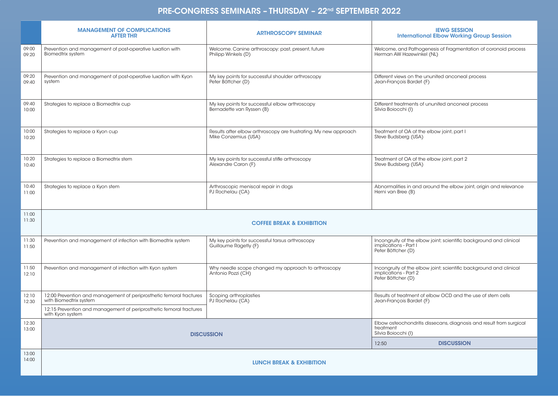#### PRE-CONGRESS SEMINARS – THURSDAY – 22nd SEPTEMBER 2022

|                | <b>MANAGEMENT OF COMPLICATIONS</b><br><b>AFTER THR</b>                                        | <b>ARTHROSCOPY SEMINAR</b>                                                               | <b>IEWG SESSION</b><br><b>International Elbow Working Group Session</b>                                           |  |  |
|----------------|-----------------------------------------------------------------------------------------------|------------------------------------------------------------------------------------------|-------------------------------------------------------------------------------------------------------------------|--|--|
| 09:00<br>09:20 | Prevention and management of post-operative luxation with<br>Biomedtrix system                | Welcome. Canine arthroscopy: past, present, future<br>Philipp Winkels (D)                | Welcome, and Pathogenesis of Fragmentation of coronoid process<br>Herman AW Hazewinkel (NL)                       |  |  |
| 09:20<br>09:40 | Prevention and management of post-operative luxation with Kyon<br>system                      | My key points for successful shoulder arthroscopy<br>Peter Böttcher (D)                  | Different views on the ununited anconeal process<br>Jean-François Bardet (F)                                      |  |  |
| 09:40<br>10:00 | Strategies to replace a Biomedtrix cup                                                        | My key points for successful elbow arthroscopy<br>Bernadette van Ryssen (B)              | Different treatments of ununited anconeal process<br>Silvia Boiocchi (I)                                          |  |  |
| 10:00<br>10:20 | Strategies to replace a Kyon cup                                                              | Results after elbow arthroscopy are frustrating. My new approach<br>Mike Conzemius (USA) | Treatment of OA of the elbow joint, part I<br>Steve Budsberg (USA)                                                |  |  |
| 10:20<br>10:40 | Strategies to replace a Biomedtrix stem                                                       | My key points for successful stifle arthroscopy<br>Alexandre Caron (F)                   | Treatment of OA of the elbow joint, part 2<br>Steve Budsberg (USA)                                                |  |  |
| 10:40<br>11:00 | Strategies to replace a Kyon stem                                                             | Arthroscopic meniscal repair in dogs<br>PJ Rochelau (CA)                                 | Abnormalities in and around the elbow joint, origin and relevance<br>Herni van Bree (B)                           |  |  |
| 11:00<br>11:30 |                                                                                               | <b>COFFEE BREAK &amp; EXHIBITION</b>                                                     |                                                                                                                   |  |  |
| 11:30<br>11:50 | Prevention and management of infection with Biomedtrix system                                 | My key points for successful tarsus arthroscopy<br>Guillaume Ragetly (F)                 | Incongruity of the elbow joint; scientific background and clinical<br>implications - Part I<br>Peter Böttcher (D) |  |  |
| 11:50<br>12:10 | Prevention and management of infection with Kyon system                                       | Why needle scope changed my approach to arthroscopy<br>Antonio Pozzi (CH)                | Incongruity of the elbow joint; scientific background and clinical<br>implications - Part 2<br>Peter Böttcher (D) |  |  |
| 12:10<br>12:30 | 12:00 Prevention and management of periprosthetic femoral fractures<br>with Biomedtrix system | Scoping arthroplasties<br>PJ Rochelau (CA)                                               | Results of treatment of elbow OCD and the use of stem cells<br>Jean-François Bardet (F)                           |  |  |
|                | 12:15 Prevention and management of periprosthetic femoral fractures<br>with Kyon system       |                                                                                          |                                                                                                                   |  |  |
| 12:30<br>13:00 |                                                                                               | <b>DISCUSSION</b>                                                                        | Elbow osteochondritis dissecans, diagnosis and result from surgical<br>treatment<br>Silvia Boiocchi (I)           |  |  |
|                |                                                                                               |                                                                                          | <b>DISCUSSION</b><br>12:50                                                                                        |  |  |
| 13:00<br>14:00 | <b>LUNCH BREAK &amp; EXHIBITION</b>                                                           |                                                                                          |                                                                                                                   |  |  |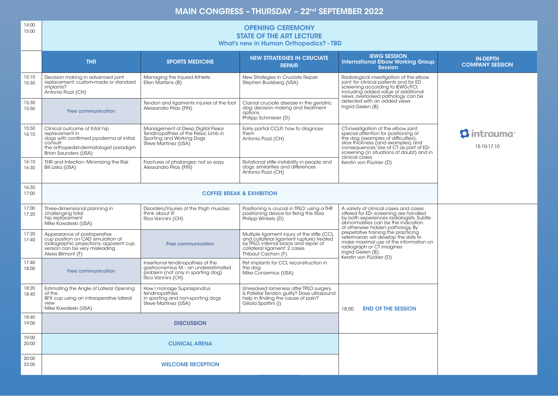#### MAIN CONGRESS - THURSDAY - 22<sup>nd</sup> SEPTEMBER 2022

| 14:00<br>15:00 | <b>OPENING CEREMONY</b><br><b>STATE OF THE ART LECTURE</b><br><b>What's new in Human Orthopedics? - TBD</b>                                                              |                                                                                                                                      |                                                                                                                                                                                        |                                                                                                                                                                                                                                                                    |                                           |  |
|----------------|--------------------------------------------------------------------------------------------------------------------------------------------------------------------------|--------------------------------------------------------------------------------------------------------------------------------------|----------------------------------------------------------------------------------------------------------------------------------------------------------------------------------------|--------------------------------------------------------------------------------------------------------------------------------------------------------------------------------------------------------------------------------------------------------------------|-------------------------------------------|--|
|                | <b>THR</b>                                                                                                                                                               | <b>SPORTS MEDICINE</b>                                                                                                               | <b>NEW STRATEGIES IN CRUCIATE</b><br><b>REPAIR</b>                                                                                                                                     | <b>IEWG SESSION</b><br><b>International Elbow Working Group</b><br><b>Session</b>                                                                                                                                                                                  | <b>IN-DEPTH</b><br><b>COMPANY SESSION</b> |  |
| 15:10<br>15:30 | Decision making in advanced joint<br>replacement: custom-made or standard<br>implants?<br>Antonio Pozzi (CH)                                                             | Managing the Injured Athlete<br>Ellen Martens (B)                                                                                    | New Strategies in Cruciate Repair<br>Stephen Budsberg (USA)                                                                                                                            | Radiological investigation of the elbow<br>joint: for clinical patients and for ED<br>screening according to IEWG/FCI,<br>including added value of additional<br>views, overlooked pathology can be                                                                |                                           |  |
| 15:30<br>15:50 | Free communication                                                                                                                                                       | Tendon and ligaments injuries of the foot<br>Alessandro Piras (FIN)                                                                  | Cranial cruciate disease in the geriatric<br>dog: decision making and treatment<br>options<br>Philipp Schmierer (D)                                                                    | detected with an added views<br>Ingrid Gielen (B)                                                                                                                                                                                                                  |                                           |  |
| 15:50<br>16:10 | Clinical outcome of total hip<br>replacement in<br>dogs with confirmed pyoderma at initial<br>consult:<br>the orthopedist-dermatologist paradigm<br>Brian Saunders (USA) | Management of Deep Digital Flexor<br>Tendinopathies of the Pelvic Limb in<br>Sporting and Working Dogs<br>Steve Martinez (USA)       | Early partial CCLR: how to diagnose<br>them<br>Antonio Pozzi (CH)                                                                                                                      | CT-investigation of the elbow joint:<br>special attention for positioning of<br>the dog (examples of difficulties),<br>slice thickness (and examples) and<br>consequences. Use of CT as part of ED-<br>screening (in situations of doubt) and in<br>clinical cases | <b>13 intrauma</b><br>15:10-17:10         |  |
| 16:10<br>16:30 | THR and Infection: Minimizing the Risk<br>Bill Liska (USA)                                                                                                               | Fractures of phalanges: not so easy<br>Alessandro Piras (FIN)                                                                        | Rotational stifle instability in people and<br>dogs: similarities and differences<br>Antonio Pozzi (CH)                                                                                | Kerstin von Pückler (D)                                                                                                                                                                                                                                            |                                           |  |
| 16:30<br>17:00 |                                                                                                                                                                          |                                                                                                                                      | <b>COFFEE BREAK &amp; EXHIBITION</b>                                                                                                                                                   |                                                                                                                                                                                                                                                                    |                                           |  |
| 17:00<br>17:20 | Three-dimensional planning in<br>challenging total<br>hip replacement<br>Mike Kowaleski (USA)                                                                            | Disorders/Injuries of the thigh muscles:<br>think about it!<br>Rico Vannini (CH)                                                     | Positioning is crucial in TPLO: using a THR<br>positioning device for fixing the tibia<br>Philipp Winkels (D)                                                                          | A variety of clinical cases and cases<br>offered for ED-screening are handled<br>by both experiences radiologists. Subtle<br>abnormalities can be the indication<br>of otherwise hidden pathology. By                                                              |                                           |  |
| 17:20<br>17:40 | Appearance of postoperative<br>cup position on CAD simulation of<br>radiographic projections; apparent cup<br>version can be very misleading<br>Alexis Bilmont (F)       | Free communication                                                                                                                   | Multiple ligament injury of the stifle (CCL<br>and collateral ligament rupture) treated<br>by TPLO, internal brace and repair of<br>collateral ligament: 2 cases<br>Thibaut Cachon (F) | prepetative training the practicing<br>veterinarian will develop the skills to<br>make maximal use of the information on<br>radiograph or CT imagines<br>Ingrid Gielen (B),<br>Kerstin von Pückler (D)                                                             |                                           |  |
| 17:40<br>18:00 | Free communication                                                                                                                                                       | Insertional tendinopathies of the<br>gastrocnemius M. - an underestimated<br>problem (not only in sporting dog)<br>Rico Vannini (CH) | Pet implants for CCL reconstruction in<br>the dog<br>Mike Conzemius (USA)                                                                                                              |                                                                                                                                                                                                                                                                    |                                           |  |
| 18:20<br>18:40 | Estimating the Angle of Lateral Opening<br>of the<br>BFX cup using an intraoperative lateral<br>view<br>Mike Kowaleski (USA)                                             | How I manage Supraspinatus<br>tendinopathies<br>in sporting and non-sporting dogs<br>Steve Martinez (USA)                            | Unresolved lameness after TPLO surgery.<br>Is Patellar Tendon quilty? Does ultrasound<br>help in finding the cause of pain?<br>Giliola Spattini (I)                                    | <b>END OF THE SESSION</b><br>18:00                                                                                                                                                                                                                                 |                                           |  |
| 18:40<br>19:00 |                                                                                                                                                                          | <b>DISCUSSION</b>                                                                                                                    |                                                                                                                                                                                        |                                                                                                                                                                                                                                                                    |                                           |  |
| 19:00<br>20:00 |                                                                                                                                                                          | <b>CLINICAL ARENA</b>                                                                                                                |                                                                                                                                                                                        |                                                                                                                                                                                                                                                                    |                                           |  |
| 20:00<br>22:00 |                                                                                                                                                                          | <b>WELCOME RECEPTION</b>                                                                                                             |                                                                                                                                                                                        |                                                                                                                                                                                                                                                                    |                                           |  |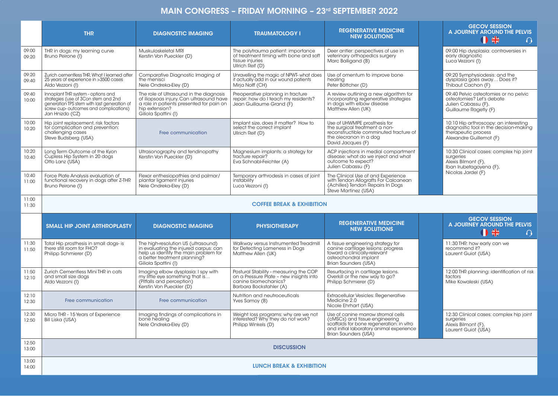## MAIN CONGRESS - FRIDAY MORNING - 23rd SEPTEMBER 2022

|                | <b>THR</b>                                                                                                                                                                             | <b>DIAGNOSTIC IMAGING</b>                                                                                                                                                     | <b>TRAUMATOLOGY I</b>                                                                                                                | <b>REGENERATIVE MEDICINE</b><br><b>NEW SOLUTIONS</b>                                                                                                                                  |  | <b>GECOV SESSION</b><br>A JOURNEY AROUND THE PELVIS<br>0 #<br>$\Omega$                                                            |
|----------------|----------------------------------------------------------------------------------------------------------------------------------------------------------------------------------------|-------------------------------------------------------------------------------------------------------------------------------------------------------------------------------|--------------------------------------------------------------------------------------------------------------------------------------|---------------------------------------------------------------------------------------------------------------------------------------------------------------------------------------|--|-----------------------------------------------------------------------------------------------------------------------------------|
| 09:00<br>09:20 | THR in dogs: my learning curve<br>Bruno Peirone (I)                                                                                                                                    | Muskuloskeletal MRI<br>Kerstin Von Pueckler (D)                                                                                                                               | The polytrauma patient: importance<br>of treatment timing with bone and soft<br>tissue injuries<br>Ullrich Reif (D)                  | Deer antler: perspectives of use in<br>veterinary orthopedics surgery<br>Marc Balligand (B)                                                                                           |  | 09:00 Hip dysplasia: controversies in<br>early diagnostic<br>Luca Vezzoni (I)                                                     |
| 09:20<br>09:40 | Zurich cementless THR, What I learned after<br>25 years of experience in >3500 cases<br>Aldo Vezzoni (I)                                                                               | Comparative Diagnostic Imaging of<br>the menisci<br>Nele Ondreka-Eley (D)                                                                                                     | Unravelling the magic of NPWT- what does<br>it actually add in our wound patients<br>Mirja Nolff (CH)                                | Use of omentum to improve bone<br>healing<br>Peter Böttcher (D)                                                                                                                       |  | 09:20 Symphysiodesis: and the<br>dysplasia goes away Does it?<br>Thibaut Cachon (F)                                               |
| 09:40<br>10:00 | Innoplant THR system - options and<br>strategies (use of 3Con stem and 2nd<br>generation TPS stem with last generation of<br>screw cup- outcomes and complications)<br>Jan Hnizdo (CZ) | The role of Ultrasound in the diagnosis<br>of iliopsoas injury. Can ultrasound have<br>a role in patients presented for pain on<br>hip extension?<br>Giliola Spattini (I)     | Preoperative planning in fracture<br>repair: how do I teach my residents?<br>Jean Guillaume Grand (F)                                | A review outlining a new algorithm for<br>incorporating regenerative strategies<br>in dogs with elbow disease<br>Matthew Allen (UK)                                                   |  | 09:40 Pelvic osteotomies or no pelvic<br>osteotomies? Let's debate<br>Julien Cabassu (F),<br>Guillaume Ragetly (F)                |
| 10:00<br>10:20 | Hip joint replacement, risk factors<br>for complication and prevention:<br>challenging cases<br>Steve Budsberg (USA)                                                                   | Free communication                                                                                                                                                            | Implant size, does it matter? How to<br>select the correct implant<br>Ullrich Reif (D)                                               | Use of UHWMPE prosthesis for<br>the surgical treatment a non-<br>reconstructible comminuted fracture of<br>the olecranon in a dog<br>David Jacques (F)                                |  | 10:10 Hip arthroscopy: an interesting<br>diagnostic tool in the decision-making<br>therapeutic process<br>Alexandre Guillemot (F) |
| 10:20<br>10:40 | Long Term Outcome of the Kyon<br>Cupless Hip System in 20 dogs<br>Otto Lanz (USA)                                                                                                      | Ultrasonography and tendinopathy<br>Kerstin Von Pueckler (D)                                                                                                                  | Magnesium implants: a strategy for<br>fracture repair?<br>Eva Schnabl-Feichter (A)                                                   | ACP injections in medial compartment<br>disease: what do we inject and what<br>outcome to expect?<br>Julien Cabassu (F)                                                               |  | 10:30 Clinical cases: complex hip joint<br>surgeries<br>Alexis Bilmont (F),<br>Iban Irubetagoyena (F),                            |
| 10:40<br>11:00 | Force Plate Analysis evaluation of<br>functional recovery in dogs after Z-THR<br>Bruno Peirone (I)                                                                                     | Flexor enthesiopathies and palmar/<br>plantar ligament injuries<br>Nele Ondreka-Eley (D)                                                                                      | Temporary arthrodesis in cases of joint<br>instability<br>Luca Vezzoni (I)                                                           | The Clinical Use of and Experience<br>with Tendon Allografts For Calcanean<br>(Achilles) Tendon Repairs In Dogs<br>Steve Martinez (USA)                                               |  | Nicolas Jardel (F)                                                                                                                |
| 11:00<br>11:30 |                                                                                                                                                                                        |                                                                                                                                                                               | <b>COFFEE BREAK &amp; EXHIBITION</b>                                                                                                 |                                                                                                                                                                                       |  |                                                                                                                                   |
|                | <b>SMALL HIP JOINT ARTHROPLASTY</b>                                                                                                                                                    | <b>DIAGNOSTIC IMAGING</b>                                                                                                                                                     | <b>PHYSIOTHERAPY</b>                                                                                                                 | <b>REGENERATIVE MEDICINE</b><br><b>NEW SOLUTIONS</b>                                                                                                                                  |  | <b>GECOV SESSION</b><br>A JOURNEY AROUND THE PELVIS<br>0 #<br>$\bigcap$                                                           |
| 11:30<br>11:50 | Total Hip prosthesis in small dogs- is<br>there still room for FHO?<br>Philipp Schmierer (D)                                                                                           | The high-resolution US (ultrasound)<br>in evaluating the injured carpus: can<br>help us identify the main problem for<br>a better treatment planning?<br>Giliola Spattini (I) | Walkway versus Instrumented Treadmill<br>for Detecting Lameness in Dogs<br>Matthew Allen (UK)                                        | A tissue engineering strategy for<br>canine cartilage lesions: progress<br>toward a clinically-relevant<br>osteochondral implant<br>Brian Saunders (USA)                              |  | 11:30 THR: how early can we<br>recommend it?<br>Laurent Guiot (USA)                                                               |
| 11:50<br>12:10 | Zurich Cementless Mini THR in cats<br>and small size dogs<br>Aldo Vezzoni (I)                                                                                                          | Imaging elbow dysplasia: I spy with<br>my little eye something that is<br>(Pitfalls and perception)<br>Kerstin Von Pueckler (D)                                               | Postural Stability - measuring the COP<br>on a Pressure Plate - new insights into<br>canine biomechanics?<br>Barbara Bockstahler (A) | Resurfacing in cartilage lesions.<br>Overkill or the new way to go?<br>Philipp Schmierer (D)                                                                                          |  | 12:00 THR planning: identification of risk<br>factors<br>Mike Kowaleski (USA)                                                     |
| 12:10<br>12:30 | Free communication                                                                                                                                                                     | Free communication                                                                                                                                                            | Nutrition and neutroceuticals<br>Yves Samoy (B)                                                                                      | Extracellular Vesicles: Regenerative<br>Medicine 2.0<br>Nicole Ehrhart (USA)                                                                                                          |  |                                                                                                                                   |
| 12:30<br>12:50 | Micro THR - 15 Years of Experience<br>Bill Liska (USA)                                                                                                                                 | Imaging findings of complications in<br>bone healing<br>Nele Ondreka-Eley (D)                                                                                                 | Weight loss programs: why are we not<br>interested? Why they do not work?<br>Philipp Winkels (D)                                     | Use of canine marrow stromal cells<br>(cMSCs) and tissue engineering<br>scaffolds for bone regeneration: in vitro<br>and initial laboratory animal experience<br>Brian Saunders (USA) |  | 12:30 Clinical cases: complex hip joint<br>surgeries<br>Alexis Bilmont (F),<br>Laurent Guiot (USA)                                |
| 12:50<br>13:00 | <b>DISCUSSION</b>                                                                                                                                                                      |                                                                                                                                                                               |                                                                                                                                      |                                                                                                                                                                                       |  |                                                                                                                                   |
| 13:00<br>14:00 | <b>LUNCH BREAK &amp; EXHIBITION</b>                                                                                                                                                    |                                                                                                                                                                               |                                                                                                                                      |                                                                                                                                                                                       |  |                                                                                                                                   |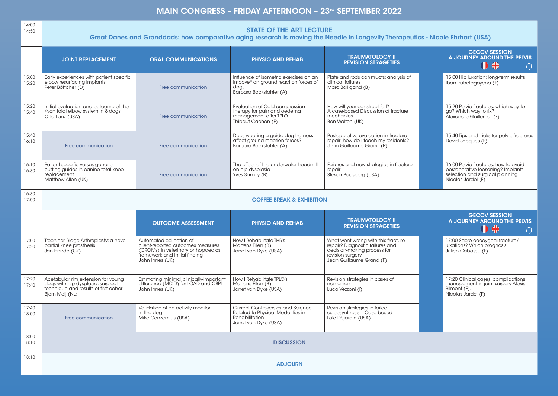## MAIN CONGRESS - FRIDAY AFTERNOON - 23rd SEPTEMBER 2022

| 14:00<br>14:50 | <b>STATE OF THE ART LECTURE</b><br>Great Danes and Granddads: how comparative aging research is moving the Needle in Longevity Therapeutics - Nicole Ehrhart (USA) |                                                                                                                                                         |                                                                                                                               |                                                                                                                                                      |                                                                                                                                    |  |  |
|----------------|--------------------------------------------------------------------------------------------------------------------------------------------------------------------|---------------------------------------------------------------------------------------------------------------------------------------------------------|-------------------------------------------------------------------------------------------------------------------------------|------------------------------------------------------------------------------------------------------------------------------------------------------|------------------------------------------------------------------------------------------------------------------------------------|--|--|
|                | <b>JOINT REPLACEMENT</b>                                                                                                                                           | <b>ORAL COMMUNICATIONS</b>                                                                                                                              | <b>PHYSIO AND REHAB</b>                                                                                                       | <b>TRAUMATOLOGY II</b><br><b>REVISION STRAGETIES</b>                                                                                                 | <b>GECOV SESSION</b><br>A JOURNEY AROUND THE PELVIS<br>1 米<br>$\Omega$                                                             |  |  |
| 15:00<br>15:20 | Early experiences with patient specific<br>elbow resurfacing implants<br>Peter Böttcher (D)                                                                        | Free communication                                                                                                                                      | Influence of isometric exercises on an<br>Imoove <sup>®</sup> on ground reaction forces of<br>dogs<br>Barbara Bockstahler (A) | Plate and rods constructs: analysis of<br>clinical failures<br>Marc Balligand (B)                                                                    | 15:00 Hip luxation: long-term results<br>Iban Irubetagoyena (F)                                                                    |  |  |
| 15:20<br>15:40 | Initial evaluation and outcome of the<br>Kyon total elbow system in 8 dogs<br>Otto Lanz (USA)                                                                      | Free communication                                                                                                                                      | Evaluation of Cold compression<br>therapy for pain and oedema<br>management after TPLO<br>Thibaut Cachon (F)                  | How will your construct fail?<br>A case-based Discussion of fracture<br>mechanics<br>Ben Walton (UK)                                                 | 15:20 Pelvic fractures: which way to<br>go? Which way to fix?<br>Alexandre Guillemot (F)                                           |  |  |
| 15:40<br>16:10 | Free communication                                                                                                                                                 | Free communication                                                                                                                                      | Does wearing a guide dog harness<br>affect ground reaction forces?<br>Barbara Bockstahler (A)                                 | Postoperative evaluation in fracture<br>repair: how do I teach my residents?<br>Jean Guillaume Grand (F)                                             | 15:40 Tips and tricks for pelvic fractures<br>David Jacques (F)                                                                    |  |  |
| 16:10<br>16:30 | Patient-specific versus generic<br>cutting guides in canine total knee<br>replacement<br>Matthew Allen (UK)                                                        | Free communication                                                                                                                                      | The effect of the underwater treadmill<br>on hip dysplasia<br>Yves Samoy (B)                                                  | Failures and new strategies in fracture<br>repair<br>Steven Budsberg (USA)                                                                           | 16:00 Pelvic fractures: how to avoid<br>postoperative loosening? Implants<br>selection and surgical planning<br>Nicolas Jardel (F) |  |  |
| 16:30<br>17:00 | <b>COFFEE BREAK &amp; EXHIBITION</b>                                                                                                                               |                                                                                                                                                         |                                                                                                                               |                                                                                                                                                      |                                                                                                                                    |  |  |
|                |                                                                                                                                                                    |                                                                                                                                                         |                                                                                                                               |                                                                                                                                                      |                                                                                                                                    |  |  |
|                |                                                                                                                                                                    | <b>OUTCOME ASSESSMENT</b>                                                                                                                               | <b>PHYSIO AND REHAB</b>                                                                                                       | <b>TRAUMATOLOGY II</b><br><b>REVISION STRAGETIES</b>                                                                                                 | <b>GECOV SESSION</b><br>A JOURNEY AROUND THE PELVIS<br>0 *<br>$\Omega$                                                             |  |  |
| 17:00<br>17:20 | Trochlear Ridge Arthroplasty: a novel<br>partial knee prosthesis<br>Jan Hnizdo (CZ)                                                                                | Automated collection of<br>client-reported outcomes measures<br>(CROMs) in veterinary orthopaedics:<br>framework and initial finding<br>John Innes (UK) | How I Rehabilitate THR's<br>Martens Ellen (B)<br>Janet van Dyke (USA)                                                         | What went wrong with this fracture<br>repair? Diagnostic failures and<br>decision-making process for<br>revision surgery<br>Jean Guillaume Grand (F) | 17:00 Sacro-coccygeal fracture/<br>luxations? Which prognosis<br>Julien Cabassu (F)                                                |  |  |
| 17:20<br>17:40 | Acetabular rim extension for young<br>dogs with hip dysplasia: surgical<br>technique and results of first cohor<br>Bjorn Meij (NL)                                 | Estimating minimal clinically-important<br>difference (MCID) for LOAD and CBPI<br>John Innes (UK)                                                       | How I Rehabilitate TPLO's<br>Martens Ellen (B)<br>Janet van Dyke (USA)                                                        | Revision strategies in cases of<br>non-union<br>Luca Vezzoni (I)                                                                                     | 17:20 Clinical cases: complications<br>management in joint surgery Alexis<br>Bilmont (F),<br>Nicolas Jardel (F)                    |  |  |
| 17:40<br>18:00 | Free communication                                                                                                                                                 | Validation of an activity monitor<br>in the dog<br>Mike Conzemius (USA)                                                                                 | <b>Current Controversies and Science</b><br>Related to Physical Modalities in<br>Rehabilitation<br>Janet van Dyke (USA)       | Revision strategies in failed<br>osteosynthesis - Case based<br>Loïc Déjardin (USA)                                                                  |                                                                                                                                    |  |  |
| 18:00<br>18:10 |                                                                                                                                                                    |                                                                                                                                                         | <b>DISCUSSION</b>                                                                                                             |                                                                                                                                                      |                                                                                                                                    |  |  |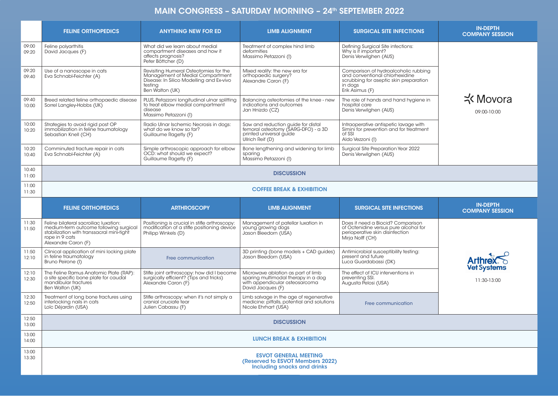## MAIN CONGRESS - SATURDAY MORNING - 24<sup>th</sup> SEPTEMBER 2022

|                | <b>FELINE ORTHOPEDICS</b>                                                                                                                                             | <b>ANYTHING NEW FOR ED</b>                                                                                                                           | <b>LIMB ALIGNMENT</b>                                                                                                            | <b>SURGICAL SITE INFECTIONS</b>                                                                                                                | <b>IN-DEPTH</b><br><b>COMPANY SESSION</b> |
|----------------|-----------------------------------------------------------------------------------------------------------------------------------------------------------------------|------------------------------------------------------------------------------------------------------------------------------------------------------|----------------------------------------------------------------------------------------------------------------------------------|------------------------------------------------------------------------------------------------------------------------------------------------|-------------------------------------------|
| 09:00<br>09:20 | Feline polyarthitis<br>David Jacques (F)                                                                                                                              | What did we learn about medial<br>compartment diseases and how it<br>affects prognosis?<br>Peter Böttcher (D)                                        | Treatment of complex hind limb<br>deformities<br>Massimo Petazzoni (I)                                                           | Defining Surgical Site infections:<br>Why is if important?<br>Denis Verwilghen (AUS)                                                           |                                           |
| 09:20<br>09:40 | Use of a nanoscope in cats<br>Eva Schnabl-Feichter (A)                                                                                                                | Revisiting Humeral Osteotomies for the<br>Management of Medial Compartment<br>Disease: In Silico Modelling and Ex-vivo<br>testing<br>Ben Walton (UK) | Mixed reality: the new era for<br>orthopaedic surgery?<br>Alexandre Caron (F)                                                    | Comparison of hydroalcoholic rubbing<br>and conventional chlorhexidine<br>scrubbing for aseptic skin preparation<br>in dogs<br>Erik Asimus (F) |                                           |
| 09:40<br>10:00 | Breed related feline orthopaedic disease<br>Sorrel Langley-Hobbs (UK)                                                                                                 | PLUS, Petazzoni longitudinal ulnar splitting<br>to treat elbow medial compartment<br>disease<br>Massimo Petazzoni (I)                                | Balancing osteotomies of the knee - new<br>indications and outcomes<br>Jan Hnizdo (CZ)                                           | The role of hands and hand hygiene in<br>hospital care<br>Denis Verwilghen (AUS)                                                               | <b>K</b> Movora<br>09:00-10:00            |
| 10:00<br>10:20 | Strategies to avoid rigid post OP<br>immobilization in feline traumatology<br>Sebastian Knell (CH)                                                                    | Radio Ulnar Ischemic Necrosis in dogs:<br>what do we know so far?<br>Guillaume Ragetly (F)                                                           | Saw and reduction guide for distal<br>femoral osteotomy (SARG-DFO) - a 3D<br>printed universal guide<br>Ullrich Reif (D)         | Intraoperative antispetic lavage with<br>Simini for prevention and for treatment<br>of SSI<br>Aldo Vezzoni (I)                                 |                                           |
| 10:20<br>10:40 | Comminuted fracture repair in cats<br>Eva Schnabl-Feichter (A)                                                                                                        | Simple arthroscopic approach for elbow<br>OCD: what should we expect?<br>Guillaume Ragetly (F)                                                       | Bone lengthening and widening for limb<br>sparing<br>Massimo Petazzoni (I)                                                       | Surgical Site Preparation Year 2022<br>Denis Verwilghen (AUS)                                                                                  |                                           |
| 10:40<br>11:00 |                                                                                                                                                                       |                                                                                                                                                      | <b>DISCUSSION</b>                                                                                                                |                                                                                                                                                |                                           |
| 11:00<br>11:30 | <b>COFFEE BREAK &amp; EXHIBITION</b>                                                                                                                                  |                                                                                                                                                      |                                                                                                                                  |                                                                                                                                                |                                           |
|                |                                                                                                                                                                       |                                                                                                                                                      |                                                                                                                                  |                                                                                                                                                |                                           |
|                | <b>FELINE ORTHOPEDICS</b>                                                                                                                                             | <b>ARTHROSCOPY</b>                                                                                                                                   | <b>LIMB ALIGNMENT</b>                                                                                                            | <b>SURGICAL SITE INFECTIONS</b>                                                                                                                | <b>IN-DEPTH</b><br><b>COMPANY SESSION</b> |
| 11:30<br>11:50 | Feline bilateral sacroiliac luxation:<br>medium-term outcome following surgical<br>stabilization with transsacral mini-tight<br>rope in 9 cats<br>Alexandre Caron (F) | Positioning is crucial in stifle arthroscopy:<br>modification of a stifle positioning device<br>Philipp Winkels (D)                                  | Management of patellar luxation in<br>young growing dogs<br>Jason Bleedorn (USA)                                                 | Does it need a Biocid? Comparison<br>of Octenidine versus pure alcohol for<br>perioperative skin disinfection<br>Mirja Nolff (CH)              |                                           |
| 11:50<br>12:10 | Clinical application of mini locking plate<br>in feline traumatology<br>Bruno Peirone (I)                                                                             | Free communication                                                                                                                                   | 3D printing (bone models + CAD guides)<br>Jason Bleedorn (USA)                                                                   | Antimicrobial susceptibility testing:<br>present and future<br>Luca Guardabassi (DK)                                                           | <b>Arthrex</b>                            |
| 12:10<br>12:30 | The Feline Ramus Anatomic Plate (RAP):<br>a site specific bone plate for caudal<br>mandibular fractures<br>Ben Walton (UK)                                            | Stifle joint arthroscopy: how did I become<br>surgically efficient? (Tips and tricks)<br>Alexandre Caron (F)                                         | Microwave ablation as part of limb<br>sparing multimodal therapy in a dog<br>with appendicular osteosarcoma<br>David Jacaues (F) | The effect of ICU interventions in<br>preventing SSI.<br>Augusta Pelosi (USA)                                                                  | <b>Vet Systems</b><br>11:30-13:00         |
| 12:30<br>12:50 | Treatment of long bone fractures using<br>interlocking nails in cats<br>Loïc Déjardin (USA)                                                                           | Stifle arthroscopy: when it's not simply a<br>cranial cruciate tear<br>Julien Cabassu (F)                                                            | Limb salvage in the age of regenerative<br>medicine: pitfalls, potential and solutions<br>Nicole Ehrhart (USA)                   | Free communication                                                                                                                             |                                           |
| 12:50<br>13:00 |                                                                                                                                                                       |                                                                                                                                                      | <b>DISCUSSION</b>                                                                                                                |                                                                                                                                                |                                           |
| 13:00<br>14:00 |                                                                                                                                                                       |                                                                                                                                                      | <b>LUNCH BREAK &amp; EXHIBITION</b>                                                                                              |                                                                                                                                                |                                           |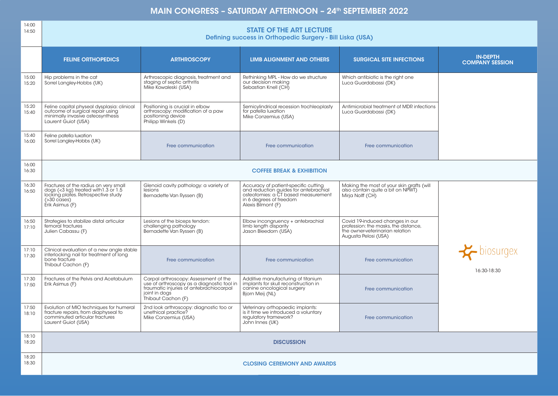## MAIN CONGRESS - SATURDAY AFTERNOON - 24<sup>th</sup> SEPTEMBER 2022

| 14:00<br>14:50 | <b>STATE OF THE ART LECTURE</b><br>Defining success in Orthopedic Surgery - Bill Liska (USA)                                                                               |                                                                                                                                                                       |                                                                                                                                                                       |                                                                                                                                    |                                                |  |
|----------------|----------------------------------------------------------------------------------------------------------------------------------------------------------------------------|-----------------------------------------------------------------------------------------------------------------------------------------------------------------------|-----------------------------------------------------------------------------------------------------------------------------------------------------------------------|------------------------------------------------------------------------------------------------------------------------------------|------------------------------------------------|--|
|                | <b>FELINE ORTHOPEDICS</b>                                                                                                                                                  | <b>ARTHROSCOPY</b>                                                                                                                                                    | <b>LIMB ALIGNMENT AND OTHERS</b>                                                                                                                                      | <b>SURGICAL SITE INFECTIONS</b>                                                                                                    | <b>IN-DEPTH</b><br><b>COMPANY SESSION</b>      |  |
| 15:00<br>15:20 | Hip problems in the cat<br>Sorrel Langley-Hobbs (UK)                                                                                                                       | Arthroscopic diagnosis, treatment and<br>staging of septic arthritis<br>Mike Kowaleski (USA)                                                                          | Rethinking MPL - How do we structure<br>our decision making<br>Sebastian Knell (CH)                                                                                   | Which antibiotic is the right one<br>Luca Guardabassi (DK)                                                                         |                                                |  |
| 15:20<br>15:40 | Feline capital physeal dysplasia: clinical<br>outcome of surgical repair using<br>minimally invasive osteosynthesis<br>Laurent Guiot (USA)                                 | Positioning is crucial in elbow<br>arthroscopy: modification of a paw<br>positioning device<br>Philipp Winkels (D)                                                    | Semicylindrical recession trochleoplasty<br>for patella luxation<br>Mike Conzemius (USA)                                                                              | Antimicrobial treatment of MDR infections<br>Luca Guardabassi (DK)                                                                 |                                                |  |
| 15:40<br>16:00 | Feline patella luxation<br>Sorrel Langley-Hobbs (UK)                                                                                                                       | Free communication                                                                                                                                                    | Free communication                                                                                                                                                    | Free communication                                                                                                                 |                                                |  |
| 16:00<br>16:30 |                                                                                                                                                                            |                                                                                                                                                                       | <b>COFFEE BREAK &amp; EXHIBITION</b>                                                                                                                                  |                                                                                                                                    |                                                |  |
| 16:30<br>16:50 | Fractures of the radius on very small<br>dogs $(3 \text{ kg}) treated with 1.3 or 1.5$<br>locking plates. Retrospective study<br>$( >30 \text{ cases})$<br>Erik Asimus (F) | Glenoid cavity pathology: a variety of<br>lesions<br>Bernadette Van Ryssen (B)                                                                                        | Accuracy of patient-specific cutting<br>and reduction guides for antebrachial<br>osteotomies: a CT based measurement<br>in 6 degrees of freedom<br>Alexis Bilmont (F) | Making the most of your skin grafts (will<br>also contain quite a bit on NPWT)<br>Mirja Nolff (CH)                                 |                                                |  |
| 16:50<br>17:10 | Strategies to stabilize distal articular<br>femoral fractures<br>Julien Cabassu (F)                                                                                        | Lesions of the biceps tendon:<br>challenging pathology<br>Bernadette Van Ryssen (B)                                                                                   | Elbow incongruency + antebrachial<br>limb length disparity<br>Jason Bleedorn (USA)                                                                                    | Covid 19-induced changes in our<br>profession: the masks, the distance,<br>the owner-veterinarian relation<br>Augusta Pelosi (USA) |                                                |  |
| 17:10<br>17:30 | Clinical evaluation of a new angle stable<br>interlocking nail for treatment of long<br>bone fracture<br>Thibaut Cachon (F)                                                | Free communication                                                                                                                                                    | Free communication                                                                                                                                                    | Free communication                                                                                                                 | $\blacktriangleright$ biosurgex<br>16:30-18:30 |  |
| 17:30<br>17:50 | Fractures of the Pelvis and Acetabulum<br>Erik Asimus (F)                                                                                                                  | Carpal arthroscopy: Assessment of the<br>use of arthroscopy as a diagnostic tool in<br>traumatic injuries of antebrachiocarpal<br>joint in dogs<br>Thibaut Cachon (F) | Additive manufacturing of titanium<br>implants for skull reconstruction in<br>canine oncological surgery<br>Bjorn Meij (NL)                                           | Free communication                                                                                                                 |                                                |  |
| 17:50<br>18:10 | Evolution of MIO techniques for humeral<br>fracture repairs, from diaphyseal to<br>comminuted articular fractures<br>Laurent Guiot (USA)                                   | 2nd look arthroscopy: diagnostic too or<br>unethical practice?<br>Mike Conzemius (USA)                                                                                | Veterinary orthopaedic implants:<br>is it time we introduced a voluntary<br>regulatory framework?<br>John Innes (UK)                                                  | Free communication                                                                                                                 |                                                |  |
| 18:10<br>18:20 |                                                                                                                                                                            |                                                                                                                                                                       | <b>DISCUSSION</b>                                                                                                                                                     |                                                                                                                                    |                                                |  |
| 18:20<br>18:30 |                                                                                                                                                                            |                                                                                                                                                                       | <b>CLOSING CEREMONY AND AWARDS</b>                                                                                                                                    |                                                                                                                                    |                                                |  |